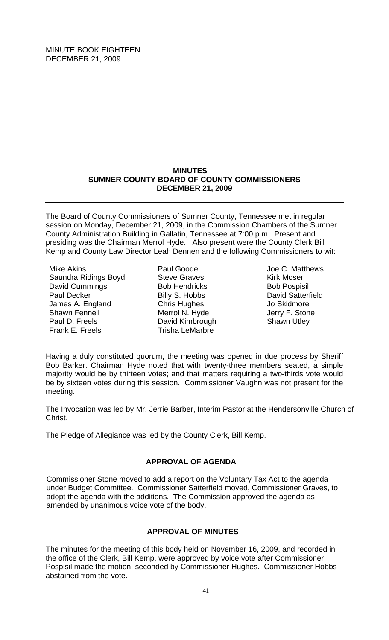## **MINUTES SUMNER COUNTY BOARD OF COUNTY COMMISSIONERS DECEMBER 21, 2009**

The Board of County Commissioners of Sumner County, Tennessee met in regular session on Monday, December 21, 2009, in the Commission Chambers of the Sumner County Administration Building in Gallatin, Tennessee at 7:00 p.m. Present and presiding was the Chairman Merrol Hyde. Also present were the County Clerk Bill Kemp and County Law Director Leah Dennen and the following Commissioners to wit:

Mike Akins Saundra Ridings Boyd David Cummings Paul Decker James A. England Shawn Fennell Paul D. Freels Frank E. Freels

Paul Goode Steve Graves Bob Hendricks Billy S. Hobbs Chris Hughes Merrol N. Hyde David Kimbrough Trisha LeMarbre

Joe C. Matthews Kirk Moser Bob Pospisil David Satterfield Jo Skidmore Jerry F. Stone Shawn Utley

Having a duly constituted quorum, the meeting was opened in due process by Sheriff Bob Barker. Chairman Hyde noted that with twenty-three members seated, a simple majority would be by thirteen votes; and that matters requiring a two-thirds vote would be by sixteen votes during this session. Commissioner Vaughn was not present for the meeting.

The Invocation was led by Mr. Jerrie Barber, Interim Pastor at the Hendersonville Church of Christ.

The Pledge of Allegiance was led by the County Clerk, Bill Kemp.

# **APPROVAL OF AGENDA**

\_\_\_\_\_\_\_\_\_\_\_\_\_\_\_\_\_\_\_\_\_\_\_\_\_\_\_\_\_\_\_\_\_\_\_\_\_\_\_\_\_\_\_\_\_\_\_\_\_\_\_\_\_\_\_\_\_\_\_\_\_\_\_\_\_\_\_\_\_\_

Commissioner Stone moved to add a report on the Voluntary Tax Act to the agenda under Budget Committee. Commissioner Satterfield moved, Commissioner Graves, to adopt the agenda with the additions. The Commission approved the agenda as amended by unanimous voice vote of the body.

# **APPROVAL OF MINUTES**

 $\overline{\phantom{a}}$  , and the contribution of the contribution of the contribution of the contribution of the contribution of the contribution of the contribution of the contribution of the contribution of the contribution of the

The minutes for the meeting of this body held on November 16, 2009, and recorded in the office of the Clerk, Bill Kemp, were approved by voice vote after Commissioner Pospisil made the motion, seconded by Commissioner Hughes. Commissioner Hobbs abstained from the vote.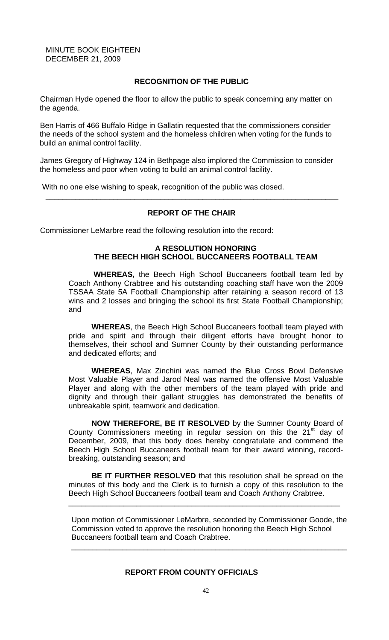## **RECOGNITION OF THE PUBLIC**

Chairman Hyde opened the floor to allow the public to speak concerning any matter on the agenda.

Ben Harris of 466 Buffalo Ridge in Gallatin requested that the commissioners consider the needs of the school system and the homeless children when voting for the funds to build an animal control facility.

James Gregory of Highway 124 in Bethpage also implored the Commission to consider the homeless and poor when voting to build an animal control facility.

With no one else wishing to speak, recognition of the public was closed.

## **REPORT OF THE CHAIR**

\_\_\_\_\_\_\_\_\_\_\_\_\_\_\_\_\_\_\_\_\_\_\_\_\_\_\_\_\_\_\_\_\_\_\_\_\_\_\_\_\_\_\_\_\_\_\_\_\_\_\_\_\_\_\_\_\_\_\_\_\_\_\_\_\_\_\_\_\_

Commissioner LeMarbre read the following resolution into the record:

### **A RESOLUTION HONORING THE BEECH HIGH SCHOOL BUCCANEERS FOOTBALL TEAM**

 **WHEREAS,** the Beech High School Buccaneers football team led by Coach Anthony Crabtree and his outstanding coaching staff have won the 2009 TSSAA State 5A Football Championship after retaining a season record of 13 wins and 2 losses and bringing the school its first State Football Championship; and

**WHEREAS**, the Beech High School Buccaneers football team played with pride and spirit and through their diligent efforts have brought honor to themselves, their school and Sumner County by their outstanding performance and dedicated efforts; and

**WHEREAS**, Max Zinchini was named the Blue Cross Bowl Defensive Most Valuable Player and Jarod Neal was named the offensive Most Valuable Player and along with the other members of the team played with pride and dignity and through their gallant struggles has demonstrated the benefits of unbreakable spirit, teamwork and dedication.

**NOW THEREFORE, BE IT RESOLVED** by the Sumner County Board of County Commissioners meeting in regular session on this the 21<sup>st</sup> day of December, 2009, that this body does hereby congratulate and commend the Beech High School Buccaneers football team for their award winning, recordbreaking, outstanding season; and

**BE IT FURTHER RESOLVED** that this resolution shall be spread on the minutes of this body and the Clerk is to furnish a copy of this resolution to the Beech High School Buccaneers football team and Coach Anthony Crabtree.

\_\_\_\_\_\_\_\_\_\_\_\_\_\_\_\_\_\_\_\_\_\_\_\_\_\_\_\_\_\_\_\_\_\_\_\_\_\_\_\_\_\_\_\_\_\_\_\_\_\_\_\_\_\_\_\_\_\_\_\_\_\_\_\_

Upon motion of Commissioner LeMarbre, seconded by Commissioner Goode, the Commission voted to approve the resolution honoring the Beech High School Buccaneers football team and Coach Crabtree.

\_\_\_\_\_\_\_\_\_\_\_\_\_\_\_\_\_\_\_\_\_\_\_\_\_\_\_\_\_\_\_\_\_\_\_\_\_\_\_\_\_\_\_\_\_\_\_\_\_\_\_\_\_\_\_\_\_\_\_\_\_\_\_\_\_

#### **REPORT FROM COUNTY OFFICIALS**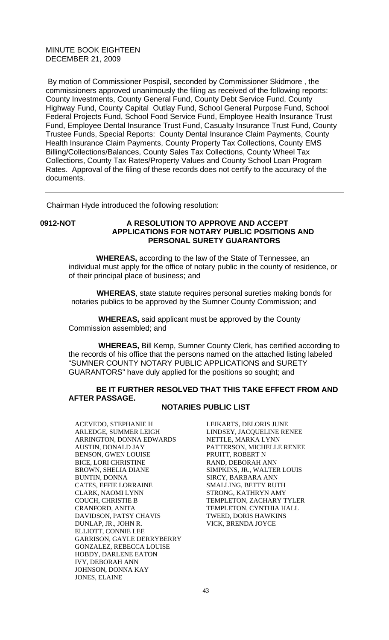By motion of Commissioner Pospisil, seconded by Commissioner Skidmore , the commissioners approved unanimously the filing as received of the following reports: County Investments, County General Fund, County Debt Service Fund, County Highway Fund, County Capital Outlay Fund, School General Purpose Fund, School Federal Projects Fund, School Food Service Fund, Employee Health Insurance Trust Fund, Employee Dental Insurance Trust Fund, Casualty Insurance Trust Fund, County Trustee Funds, Special Reports: County Dental Insurance Claim Payments, County Health Insurance Claim Payments, County Property Tax Collections, County EMS Billing/Collections/Balances, County Sales Tax Collections, County Wheel Tax Collections, County Tax Rates/Property Values and County School Loan Program Rates. Approval of the filing of these records does not certify to the accuracy of the documents.

Chairman Hyde introduced the following resolution:

# **0912-NOT A RESOLUTION TO APPROVE AND ACCEPT APPLICATIONS FOR NOTARY PUBLIC POSITIONS AND PERSONAL SURETY GUARANTORS**

 **WHEREAS,** according to the law of the State of Tennessee, an individual must apply for the office of notary public in the county of residence, or of their principal place of business; and

 **WHEREAS**, state statute requires personal sureties making bonds for notaries publics to be approved by the Sumner County Commission; and

 **WHEREAS,** said applicant must be approved by the County Commission assembled; and

 **WHEREAS,** Bill Kemp, Sumner County Clerk, has certified according to the records of his office that the persons named on the attached listing labeled "SUMNER COUNTY NOTARY PUBLIC APPLICATIONS and SURETY GUARANTORS" have duly applied for the positions so sought; and

# **BE IT FURTHER RESOLVED THAT THIS TAKE EFFECT FROM AND AFTER PASSAGE.**

# **NOTARIES PUBLIC LIST**

ACEVEDO, STEPHANIE H ARLEDGE, SUMMER LEIGH ARRINGTON, DONNA EDWARDS AUSTIN, DONALD JAY BENSON, GWEN LOUISE BICE, LORI CHRISTINE BROWN, SHELIA DIANE BUNTIN, DONNA CATES, EFFIE LORRAINE CLARK, NAOMI LYNN COUCH, CHRISTIE B CRANFORD, ANITA DAVIDSON, PATSY CHAVIS DUNLAP, JR., JOHN R. ELLIOTT, CONNIE LEE GARRISON, GAYLE DERRYBERRY GONZALEZ, REBECCA LOUISE HOBDY, DARLENE EATON IVY, DEBORAH ANN JOHNSON, DONNA KAY JONES, ELAINE

LEIKARTS, DELORIS JUNE LINDSEY, JACQUELINE RENEE NETTLE, MARKA LYNN PATTERSON, MICHELLE RENEE PRUITT, ROBERT N RAND, DEBORAH ANN SIMPKINS, JR., WALTER LOUIS SIRCY, BARBARA ANN SMALLING, BETTY RUTH STRONG, KATHRYN AMY TEMPLETON, ZACHARY TYLER TEMPLETON, CYNTHIA HALL TWEED, DORIS HAWKINS VICK, BRENDA JOYCE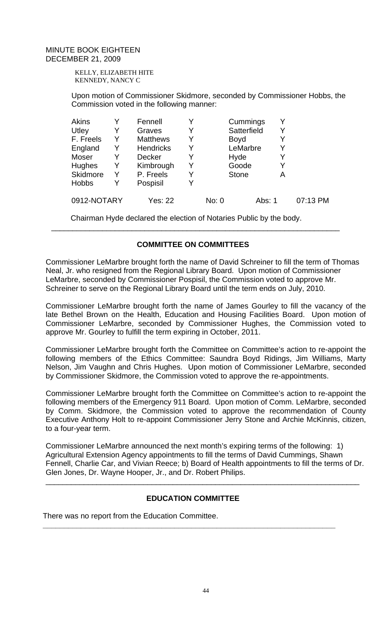KELLY, ELIZABETH HITE KENNEDY, NANCY C

Upon motion of Commissioner Skidmore, seconded by Commissioner Hobbs, the Commission voted in the following manner:

| Akins        |   | Fennell          | Y |       | Cummings     |        |   |          |
|--------------|---|------------------|---|-------|--------------|--------|---|----------|
| Utley        | Y | Graves           | Y |       | Satterfield  |        | Y |          |
| F. Freels    | Y | <b>Matthews</b>  | Y |       | <b>Boyd</b>  |        |   |          |
| England      | Y | <b>Hendricks</b> | Y |       | LeMarbre     |        |   |          |
| Moser        | Y | Decker           | Y |       | Hyde         |        | Y |          |
| Hughes       | Y | Kimbrough        | Y |       | Goode        |        |   |          |
| Skidmore     | Y | P. Freels        | Y |       | <b>Stone</b> |        | Α |          |
| <b>Hobbs</b> |   | Pospisil         | Y |       |              |        |   |          |
| 0912-NOTARY  |   | Yes: 22          |   | No: 0 |              | Abs: 1 |   | 07:13 PM |

Chairman Hyde declared the election of Notaries Public by the body.

# **COMMITTEE ON COMMITTEES**

 $\overline{\phantom{a}}$  , and the contribution of the contribution of the contribution of the contribution of the contribution of  $\overline{\phantom{a}}$ 

Commissioner LeMarbre brought forth the name of David Schreiner to fill the term of Thomas Neal, Jr. who resigned from the Regional Library Board. Upon motion of Commissioner LeMarbre, seconded by Commissioner Pospisil, the Commission voted to approve Mr. Schreiner to serve on the Regional Library Board until the term ends on July, 2010.

Commissioner LeMarbre brought forth the name of James Gourley to fill the vacancy of the late Bethel Brown on the Health, Education and Housing Facilities Board. Upon motion of Commissioner LeMarbre, seconded by Commissioner Hughes, the Commission voted to approve Mr. Gourley to fulfill the term expiring in October, 2011.

Commissioner LeMarbre brought forth the Committee on Committee's action to re-appoint the following members of the Ethics Committee: Saundra Boyd Ridings, Jim Williams, Marty Nelson, Jim Vaughn and Chris Hughes. Upon motion of Commissioner LeMarbre, seconded by Commissioner Skidmore, the Commission voted to approve the re-appointments.

Commissioner LeMarbre brought forth the Committee on Committee's action to re-appoint the following members of the Emergency 911 Board. Upon motion of Comm. LeMarbre, seconded by Comm. Skidmore, the Commission voted to approve the recommendation of County Executive Anthony Holt to re-appoint Commissioner Jerry Stone and Archie McKinnis, citizen, to a four-year term.

Commissioner LeMarbre announced the next month's expiring terms of the following: 1) Agricultural Extension Agency appointments to fill the terms of David Cummings, Shawn Fennell, Charlie Car, and Vivian Reece; b) Board of Health appointments to fill the terms of Dr. Glen Jones, Dr. Wayne Hooper, Jr., and Dr. Robert Philips.

\_\_\_\_\_\_\_\_\_\_\_\_\_\_\_\_\_\_\_\_\_\_\_\_\_\_\_\_\_\_\_\_\_\_\_\_\_\_\_\_\_\_\_\_\_\_\_\_\_\_\_\_\_\_\_\_\_\_\_\_\_\_\_\_\_\_\_\_\_\_\_\_\_\_

# **EDUCATION COMMITTEE**

**\_\_\_\_\_\_\_\_\_\_\_\_\_\_\_\_\_\_\_\_\_\_\_\_\_\_\_\_\_\_\_\_\_\_\_\_\_\_\_\_\_\_\_\_\_\_\_\_\_\_\_\_\_\_\_\_\_\_\_\_\_\_\_\_\_\_\_\_\_** 

There was no report from the Education Committee.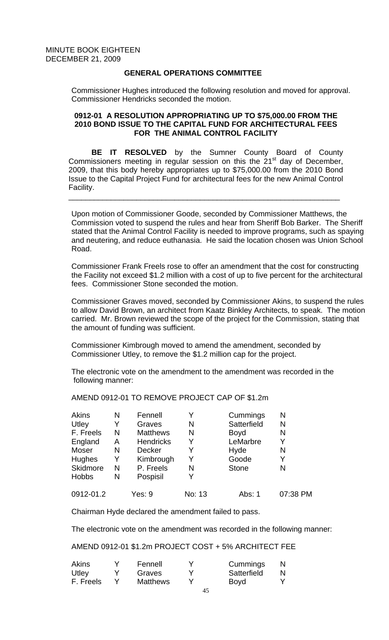# **GENERAL OPERATIONS COMMITTEE**

Commissioner Hughes introduced the following resolution and moved for approval. Commissioner Hendricks seconded the motion.

### **0912-01 A RESOLUTION APPROPRIATING UP TO \$75,000.00 FROM THE 2010 BOND ISSUE TO THE CAPITAL FUND FOR ARCHITECTURAL FEES FOR THE ANIMAL CONTROL FACILITY**

**BE IT RESOLVED** by the Sumner County Board of County Commissioners meeting in regular session on this the  $21<sup>st</sup>$  day of December, 2009, that this body hereby appropriates up to \$75,000.00 from the 2010 Bond Issue to the Capital Project Fund for architectural fees for the new Animal Control Facility.

\_\_\_\_\_\_\_\_\_\_\_\_\_\_\_\_\_\_\_\_\_\_\_\_\_\_\_\_\_\_\_\_\_\_\_\_\_\_\_\_\_\_\_\_\_\_\_\_\_\_\_\_\_\_\_\_\_\_\_\_\_\_\_\_

Upon motion of Commissioner Goode, seconded by Commissioner Matthews, the Commission voted to suspend the rules and hear from Sheriff Bob Barker. The Sheriff stated that the Animal Control Facility is needed to improve programs, such as spaying and neutering, and reduce euthanasia. He said the location chosen was Union School Road.

Commissioner Frank Freels rose to offer an amendment that the cost for constructing the Facility not exceed \$1.2 million with a cost of up to five percent for the architectural fees. Commissioner Stone seconded the motion.

Commissioner Graves moved, seconded by Commissioner Akins, to suspend the rules to allow David Brown, an architect from Kaatz Binkley Architects, to speak. The motion carried. Mr. Brown reviewed the scope of the project for the Commission, stating that the amount of funding was sufficient.

Commissioner Kimbrough moved to amend the amendment, seconded by Commissioner Utley, to remove the \$1.2 million cap for the project.

The electronic vote on the amendment to the amendment was recorded in the following manner:

| Akins        | N | Fennell          |        | Cummings     | N        |
|--------------|---|------------------|--------|--------------|----------|
| Utley        |   | Graves           | N      | Satterfield  | Ν        |
| F. Freels    | N | <b>Matthews</b>  | N      | <b>Boyd</b>  | N        |
| England      | A | <b>Hendricks</b> | Y      | LeMarbre     | Y        |
| Moser        | N | <b>Decker</b>    |        | Hyde         | N        |
| Hughes       | Y | Kimbrough        | Y      | Goode        |          |
| Skidmore     | N | P. Freels        | N      | <b>Stone</b> | N        |
| <b>Hobbs</b> | N | Pospisil         |        |              |          |
| 0912-01.2    |   | Yes: 9           | No: 13 | Abs: 1       | 07:38 PM |

AMEND 0912-01 TO REMOVE PROJECT CAP OF \$1.2m

Chairman Hyde declared the amendment failed to pass.

The electronic vote on the amendment was recorded in the following manner:

AMEND 0912-01 \$1.2m PROJECT COST + 5% ARCHITECT FEE

| Akins     | Fennell         | Cummings    |  |
|-----------|-----------------|-------------|--|
| Utley     | Graves          | Satterfield |  |
| F. Freels | <b>Matthews</b> | <b>Boyd</b> |  |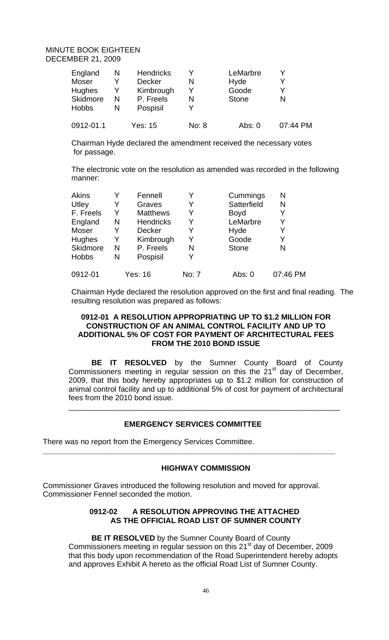| England<br>Moser<br><b>Hughes</b><br>Skidmore | N<br>Y<br>N | <b>Hendricks</b><br>Decker<br>Kimbrough<br>P. Freels | N<br>v | LeMarbre<br>Hyde<br>Goode<br><b>Stone</b> |          |
|-----------------------------------------------|-------------|------------------------------------------------------|--------|-------------------------------------------|----------|
| <b>Hobbs</b>                                  | N           | Pospisil                                             |        |                                           |          |
| 0912-01.1                                     |             | Yes: 15                                              | No: 8  | Abs: 0                                    | 07:44 PM |

Chairman Hyde declared the amendment received the necessary votes for passage.

The electronic vote on the resolution as amended was recorded in the following manner:

| <b>Akins</b>  |   | Fennell          |       | Cummings     | Ν        |
|---------------|---|------------------|-------|--------------|----------|
| Utley         | Y | Graves           | Y     | Satterfield  | N        |
| F. Freels     | Y | <b>Matthews</b>  |       | <b>Boyd</b>  |          |
| England       | N | <b>Hendricks</b> | Y     | LeMarbre     | Y        |
| Moser         | Y | <b>Decker</b>    | Y     | Hyde         | Y        |
| <b>Hughes</b> | Y | Kimbrough        | Y     | Goode        | Y        |
| Skidmore      | N | P. Freels        | N     | <b>Stone</b> | N        |
| <b>Hobbs</b>  | N | Pospisil         | Y     |              |          |
| 0912-01       |   | Yes: 16          | No: 7 | Abs: 0       | 07:46 PM |

Chairman Hyde declared the resolution approved on the first and final reading. The resulting resolution was prepared as follows:

### **0912-01 A RESOLUTION APPROPRIATING UP TO \$1.2 MILLION FOR CONSTRUCTION OF AN ANIMAL CONTROL FACILITY AND UP TO ADDITIONAL 5% OF COST FOR PAYMENT OF ARCHITECTURAL FEES FROM THE 2010 BOND ISSUE**

**BE IT RESOLVED** by the Sumner County Board of County Commissioners meeting in regular session on this the  $21<sup>st</sup>$  day of December, 2009, that this body hereby appropriates up to \$1.2 million for construction of animal control facility and up to additional 5% of cost for payment of architectural fees from the 2010 bond issue.

\_\_\_\_\_\_\_\_\_\_\_\_\_\_\_\_\_\_\_\_\_\_\_\_\_\_\_\_\_\_\_\_\_\_\_\_\_\_\_\_\_\_\_\_\_\_\_\_\_\_\_\_\_\_\_\_\_\_\_\_\_\_\_\_

# **EMERGENCY SERVICES COMMITTEE**

**\_\_\_\_\_\_\_\_\_\_\_\_\_\_\_\_\_\_\_\_\_\_\_\_\_\_\_\_\_\_\_\_\_\_\_\_\_\_\_\_\_\_\_\_\_\_\_\_\_\_\_\_\_\_\_\_\_\_\_\_\_\_\_\_\_\_\_\_\_** 

There was no report from the Emergency Services Committee.

# **HIGHWAY COMMISSION**

Commissioner Graves introduced the following resolution and moved for approval. Commissioner Fennel seconded the motion.

# **0912-02 A RESOLUTION APPROVING THE ATTACHED AS THE OFFICIAL ROAD LIST OF SUMNER COUNTY**

**BE IT RESOLVED** by the Sumner County Board of County Commissioners meeting in regular session on this 21<sup>st</sup> day of December, 2009 that this body upon recommendation of the Road Superintendent hereby adopts and approves Exhibit A hereto as the official Road List of Sumner County.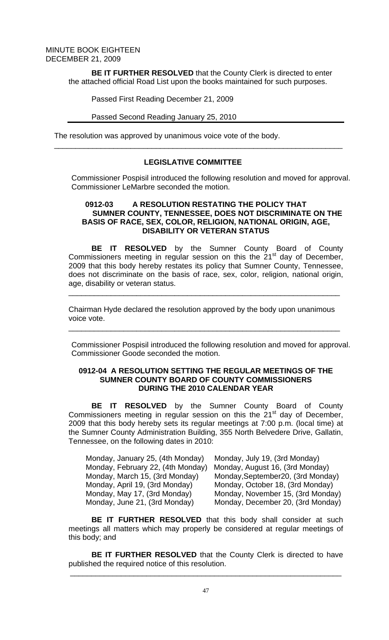> **BE IT FURTHER RESOLVED** that the County Clerk is directed to enter the attached official Road List upon the books maintained for such purposes.

Passed First Reading December 21, 2009

#### Passed Second Reading January 25, 2010

The resolution was approved by unanimous voice vote of the body.

# **LEGISLATIVE COMMITTEE**

 $\overline{\phantom{a}}$  , and the contribution of the contribution of the contribution of the contribution of the contribution of  $\overline{\phantom{a}}$ 

Commissioner Pospisil introduced the following resolution and moved for approval. Commissioner LeMarbre seconded the motion.

### **0912-03 A RESOLUTION RESTATING THE POLICY THAT SUMNER COUNTY, TENNESSEE, DOES NOT DISCRIMINATE ON THE BASIS OF RACE, SEX, COLOR, RELIGION, NATIONAL ORIGIN, AGE, DISABILITY OR VETERAN STATUS**

**BE IT RESOLVED** by the Sumner County Board of County Commissioners meeting in regular session on this the  $21<sup>st</sup>$  day of December, 2009 that this body hereby restates its policy that Sumner County, Tennessee, does not discriminate on the basis of race, sex, color, religion, national origin, age, disability or veteran status.

\_\_\_\_\_\_\_\_\_\_\_\_\_\_\_\_\_\_\_\_\_\_\_\_\_\_\_\_\_\_\_\_\_\_\_\_\_\_\_\_\_\_\_\_\_\_\_\_\_\_\_\_\_\_\_\_\_\_\_\_\_\_\_\_

Chairman Hyde declared the resolution approved by the body upon unanimous voice vote.

\_\_\_\_\_\_\_\_\_\_\_\_\_\_\_\_\_\_\_\_\_\_\_\_\_\_\_\_\_\_\_\_\_\_\_\_\_\_\_\_\_\_\_\_\_\_\_\_\_\_\_\_\_\_\_\_\_\_\_\_\_\_\_\_

Commissioner Pospisil introduced the following resolution and moved for approval. Commissioner Goode seconded the motion.

## **0912-04 A RESOLUTION SETTING THE REGULAR MEETINGS OF THE SUMNER COUNTY BOARD OF COUNTY COMMISSIONERS DURING THE 2010 CALENDAR YEAR**

**BE IT RESOLVED** by the Sumner County Board of County Commissioners meeting in regular session on this the  $21<sup>st</sup>$  day of December, 2009 that this body hereby sets its regular meetings at 7:00 p.m. (local time) at the Sumner County Administration Building, 355 North Belvedere Drive, Gallatin, Tennessee, on the following dates in 2010:

| Monday, January 25, (4th Monday)  | Monday, July 19, (3rd Monday)      |
|-----------------------------------|------------------------------------|
| Monday, February 22, (4th Monday) | Monday, August 16, (3rd Monday)    |
| Monday, March 15, (3rd Monday)    | Monday, September 20, (3rd Monday) |
| Monday, April 19, (3rd Monday)    | Monday, October 18, (3rd Monday)   |
| Monday, May 17, (3rd Monday)      | Monday, November 15, (3rd Monday)  |
| Monday, June 21, (3rd Monday)     | Monday, December 20, (3rd Monday)  |

**BE IT FURTHER RESOLVED** that this body shall consider at such meetings all matters which may properly be considered at regular meetings of this body; and

**BE IT FURTHER RESOLVED** that the County Clerk is directed to have published the required notice of this resolution.

\_\_\_\_\_\_\_\_\_\_\_\_\_\_\_\_\_\_\_\_\_\_\_\_\_\_\_\_\_\_\_\_\_\_\_\_\_\_\_\_\_\_\_\_\_\_\_\_\_\_\_\_\_\_\_\_\_\_\_\_\_\_\_\_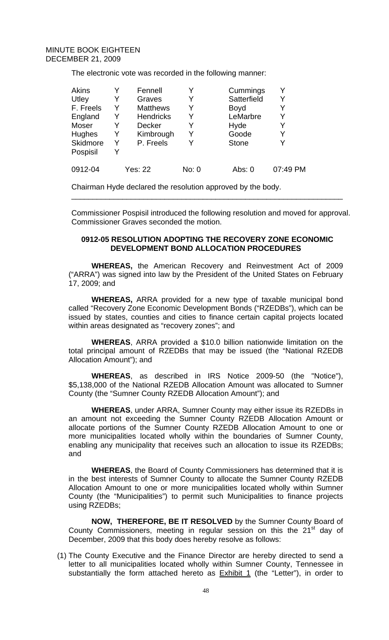The electronic vote was recorded in the following manner:

| <b>Akins</b>    |   | Fennell          |       | Cummings     |          |
|-----------------|---|------------------|-------|--------------|----------|
| Utley           | Y | Graves           | Y     | Satterfield  | Y        |
| F. Freels       | Y | <b>Matthews</b>  | Y     | <b>Boyd</b>  |          |
| England         | Y | <b>Hendricks</b> | Y     | LeMarbre     |          |
| Moser           | Y | <b>Decker</b>    | Y     | Hyde         |          |
| <b>Hughes</b>   | Y | Kimbrough        | Y     | Goode        | Y        |
| <b>Skidmore</b> | Y | P. Freels        |       | <b>Stone</b> |          |
| Pospisil        | Y |                  |       |              |          |
| 0912-04         |   | <b>Yes: 22</b>   | No: 0 | Abs: 0       | 07:49 PM |

Chairman Hyde declared the resolution approved by the body.

Commissioner Pospisil introduced the following resolution and moved for approval. Commissioner Graves seconded the motion.

\_\_\_\_\_\_\_\_\_\_\_\_\_\_\_\_\_\_\_\_\_\_\_\_\_\_\_\_\_\_\_\_\_\_\_\_\_\_\_\_\_\_\_\_\_\_\_\_\_\_\_\_\_\_\_\_\_\_\_\_\_\_\_\_

### **0912-05 RESOLUTION ADOPTING THE RECOVERY ZONE ECONOMIC DEVELOPMENT BOND ALLOCATION PROCEDURES**

**WHEREAS,** the American Recovery and Reinvestment Act of 2009 ("ARRA") was signed into law by the President of the United States on February 17, 2009; and

**WHEREAS,** ARRA provided for a new type of taxable municipal bond called "Recovery Zone Economic Development Bonds ("RZEDBs"), which can be issued by states, counties and cities to finance certain capital projects located within areas designated as "recovery zones"; and

**WHEREAS**, ARRA provided a \$10.0 billion nationwide limitation on the total principal amount of RZEDBs that may be issued (the "National RZEDB Allocation Amount"); and

**WHEREAS**, as described in IRS Notice 2009-50 (the "Notice"), \$5,138,000 of the National RZEDB Allocation Amount was allocated to Sumner County (the "Sumner County RZEDB Allocation Amount"); and

**WHEREAS**, under ARRA, Sumner County may either issue its RZEDBs in an amount not exceeding the Sumner County RZEDB Allocation Amount or allocate portions of the Sumner County RZEDB Allocation Amount to one or more municipalities located wholly within the boundaries of Sumner County, enabling any municipality that receives such an allocation to issue its RZEDBs; and

**WHEREAS**, the Board of County Commissioners has determined that it is in the best interests of Sumner County to allocate the Sumner County RZEDB Allocation Amount to one or more municipalities located wholly within Sumner County (the "Municipalities") to permit such Municipalities to finance projects using RZEDBs;

**NOW, THEREFORE, BE IT RESOLVED** by the Sumner County Board of County Commissioners, meeting in regular session on this the 21<sup>st</sup> day of December, 2009 that this body does hereby resolve as follows:

(1) The County Executive and the Finance Director are hereby directed to send a letter to all municipalities located wholly within Sumner County, Tennessee in substantially the form attached hereto as  $Exhibit 1$  (the "Letter"), in order to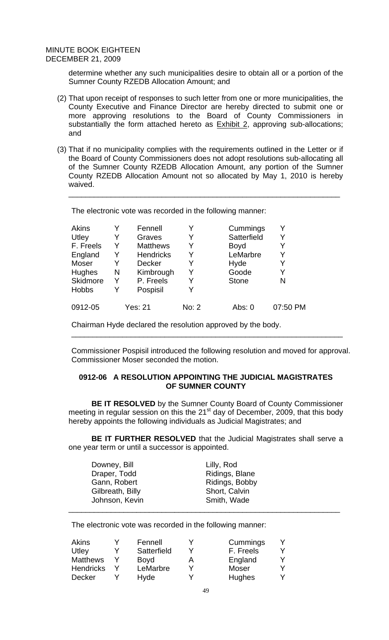determine whether any such municipalities desire to obtain all or a portion of the Sumner County RZEDB Allocation Amount; and

- (2) That upon receipt of responses to such letter from one or more municipalities, the County Executive and Finance Director are hereby directed to submit one or more approving resolutions to the Board of County Commissioners in substantially the form attached hereto as  $Exhibit 2$ , approving sub-allocations; and
- (3) That if no municipality complies with the requirements outlined in the Letter or if the Board of County Commissioners does not adopt resolutions sub-allocating all of the Sumner County RZEDB Allocation Amount, any portion of the Sumner County RZEDB Allocation Amount not so allocated by May 1, 2010 is hereby waived.

\_\_\_\_\_\_\_\_\_\_\_\_\_\_\_\_\_\_\_\_\_\_\_\_\_\_\_\_\_\_\_\_\_\_\_\_\_\_\_\_\_\_\_\_\_\_\_\_\_\_\_\_\_\_\_\_\_\_\_\_\_\_\_\_

The electronic vote was recorded in the following manner:

| Akins        | Y | Fennell          |       | Cummings     |          |
|--------------|---|------------------|-------|--------------|----------|
| Utley        | Y | Graves           | Y     | Satterfield  | Y        |
| F. Freels    | Y | <b>Matthews</b>  | Y     | <b>Boyd</b>  |          |
| England      | Y | <b>Hendricks</b> | Y     | LeMarbre     | Y        |
| Moser        | Y | <b>Decker</b>    | Y     | Hyde         |          |
| Hughes       | N | Kimbrough        | Y     | Goode        |          |
| Skidmore     | Y | P. Freels        | Y     | <b>Stone</b> | N        |
| <b>Hobbs</b> | Y | Pospisil         |       |              |          |
| 0912-05      |   | <b>Yes: 21</b>   | No: 2 | Abs: 0       | 07:50 PM |

Chairman Hyde declared the resolution approved by the body.

Commissioner Pospisil introduced the following resolution and moved for approval. Commissioner Moser seconded the motion.

\_\_\_\_\_\_\_\_\_\_\_\_\_\_\_\_\_\_\_\_\_\_\_\_\_\_\_\_\_\_\_\_\_\_\_\_\_\_\_\_\_\_\_\_\_\_\_\_\_\_\_\_\_\_\_\_\_\_\_\_\_\_\_\_

## **0912-06 A RESOLUTION APPOINTING THE JUDICIAL MAGISTRATES OF SUMNER COUNTY**

**BE IT RESOLVED** by the Sumner County Board of County Commissioner meeting in regular session on this the  $21<sup>st</sup>$  day of December, 2009, that this body hereby appoints the following individuals as Judicial Magistrates; and

**BE IT FURTHER RESOLVED** that the Judicial Magistrates shall serve a one year term or until a successor is appointed.

| Downey, Bill     | Lilly, Rod     |  |
|------------------|----------------|--|
| Draper, Todd     | Ridings, Blane |  |
| Gann, Robert     | Ridings, Bobby |  |
| Gilbreath, Billy | Short, Calvin  |  |
| Johnson, Kevin   | Smith, Wade    |  |
|                  |                |  |

The electronic vote was recorded in the following manner:

| Akins            | Fennell     |   | Cummings  |  |
|------------------|-------------|---|-----------|--|
| Utley            | Satterfield |   | F. Freels |  |
| <b>Matthews</b>  | <b>Boyd</b> | A | England   |  |
| <b>Hendricks</b> | LeMarbre    |   | Moser     |  |
| Decker           | Hyde        |   | Hughes    |  |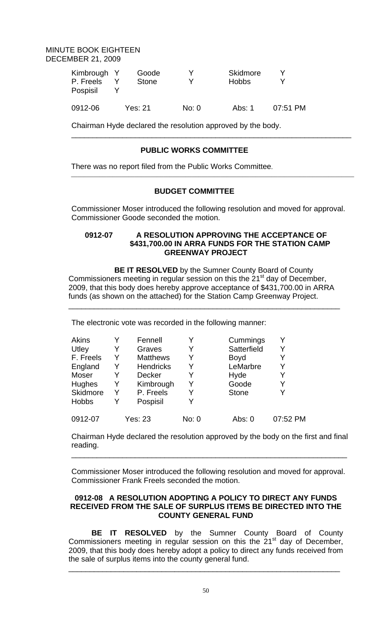| Kimbrough Y<br>P. Freels<br>Pospisil | Goode<br><b>Stone</b> |       | Skidmore<br><b>Hobbs</b> |          |
|--------------------------------------|-----------------------|-------|--------------------------|----------|
| 0912-06                              | Yes: 21               | No: 0 | Abs: 1                   | 07:51 PM |

Chairman Hyde declared the resolution approved by the body.

# **PUBLIC WORKS COMMITTEE**

There was no report filed from the Public Works Committee.

# **BUDGET COMMITTEE**

 $\mathcal{L}_\text{max}$  , and the set of the set of the set of the set of the set of the set of the set of the set of the set of the set of the set of the set of the set of the set of the set of the set of the set of the set of the

Commissioner Moser introduced the following resolution and moved for approval. Commissioner Goode seconded the motion.

\_\_\_\_\_\_\_\_\_\_\_\_\_\_\_\_\_\_\_\_\_\_\_\_\_\_\_\_\_\_\_\_\_\_\_\_\_\_\_\_\_\_\_\_\_\_\_\_\_\_\_\_\_\_\_\_\_\_\_\_\_\_\_\_\_\_

### **0912-07 A RESOLUTION APPROVING THE ACCEPTANCE OF \$431,700.00 IN ARRA FUNDS FOR THE STATION CAMP GREENWAY PROJECT**

 **BE IT RESOLVED** by the Sumner County Board of County Commissioners meeting in regular session on this the 21<sup>st</sup> day of December, 2009, that this body does hereby approve acceptance of \$431,700.00 in ARRA funds (as shown on the attached) for the Station Camp Greenway Project.

\_\_\_\_\_\_\_\_\_\_\_\_\_\_\_\_\_\_\_\_\_\_\_\_\_\_\_\_\_\_\_\_\_\_\_\_\_\_\_\_\_\_\_\_\_\_\_\_\_\_\_\_\_\_\_\_\_\_\_\_\_\_\_\_

The electronic vote was recorded in the following manner:

| Akins        |   | Fennell          |       | Cummings     |          |
|--------------|---|------------------|-------|--------------|----------|
| Utley        | Y | Graves           | Y     | Satterfield  |          |
| F. Freels    | Y | <b>Matthews</b>  | Y     | <b>Boyd</b>  |          |
| England      | Y | <b>Hendricks</b> | Y     | LeMarbre     |          |
| Moser        | Y | <b>Decker</b>    | Y     | Hyde         |          |
| Hughes       | Y | Kimbrough        | Y     | Goode        | Y        |
| Skidmore     | Y | P. Freels        | Y     | <b>Stone</b> |          |
| <b>Hobbs</b> | Y | Pospisil         | v     |              |          |
| 0912-07      |   | Yes: 23          | No: 0 | Abs: 0       | 07:52 PM |

Chairman Hyde declared the resolution approved by the body on the first and final reading.

\_\_\_\_\_\_\_\_\_\_\_\_\_\_\_\_\_\_\_\_\_\_\_\_\_\_\_\_\_\_\_\_\_\_\_\_\_\_\_\_\_\_\_\_\_\_\_\_\_\_\_\_\_\_\_\_\_\_\_\_\_\_\_\_\_

Commissioner Moser introduced the following resolution and moved for approval. Commissioner Frank Freels seconded the motion.

## **0912-08 A RESOLUTION ADOPTING A POLICY TO DIRECT ANY FUNDS RECEIVED FROM THE SALE OF SURPLUS ITEMS BE DIRECTED INTO THE COUNTY GENERAL FUND**

**BE IT RESOLVED** by the Sumner County Board of County Commissioners meeting in regular session on this the  $21<sup>st</sup>$  day of December, 2009, that this body does hereby adopt a policy to direct any funds received from the sale of surplus items into the county general fund.

\_\_\_\_\_\_\_\_\_\_\_\_\_\_\_\_\_\_\_\_\_\_\_\_\_\_\_\_\_\_\_\_\_\_\_\_\_\_\_\_\_\_\_\_\_\_\_\_\_\_\_\_\_\_\_\_\_\_\_\_\_\_\_\_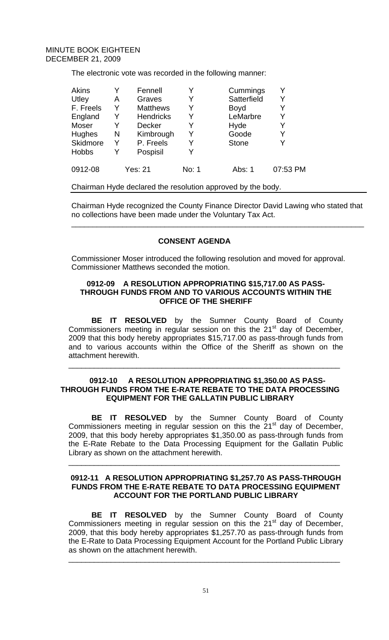The electronic vote was recorded in the following manner:

| <b>Akins</b>    |   | Fennell          |       | Cummings     |          |
|-----------------|---|------------------|-------|--------------|----------|
| Utley           | Α | Graves           | Y     | Satterfield  |          |
| F. Freels       | Y | <b>Matthews</b>  | Y     | <b>Boyd</b>  |          |
| England         | Y | <b>Hendricks</b> | Y     | LeMarbre     | Y        |
| Moser           | Y | <b>Decker</b>    | Y     | Hyde         |          |
| <b>Hughes</b>   | N | Kimbrough        | Y     | Goode        | Y        |
| <b>Skidmore</b> | Y | P. Freels        | Y     | <b>Stone</b> |          |
| <b>Hobbs</b>    | Y | Pospisil         | Y     |              |          |
| 0912-08         |   | <b>Yes: 21</b>   | No: 1 | Abs: 1       | 07:53 PM |

Chairman Hyde declared the resolution approved by the body.

Chairman Hyde recognized the County Finance Director David Lawing who stated that no collections have been made under the Voluntary Tax Act.

\_\_\_\_\_\_\_\_\_\_\_\_\_\_\_\_\_\_\_\_\_\_\_\_\_\_\_\_\_\_\_\_\_\_\_\_\_\_\_\_\_\_\_\_\_\_\_\_\_\_\_\_\_\_\_\_\_\_\_\_\_\_\_\_\_\_\_\_\_

# **CONSENT AGENDA**

Commissioner Moser introduced the following resolution and moved for approval. Commissioner Matthews seconded the motion.

## **0912-09 A RESOLUTION APPROPRIATING \$15,717.00 AS PASS-THROUGH FUNDS FROM AND TO VARIOUS ACCOUNTS WITHIN THE OFFICE OF THE SHERIFF**

**BE IT RESOLVED** by the Sumner County Board of County Commissioners meeting in regular session on this the  $21<sup>st</sup>$  day of December, 2009 that this body hereby appropriates \$15,717.00 as pass-through funds from and to various accounts within the Office of the Sheriff as shown on the attachment herewith.

\_\_\_\_\_\_\_\_\_\_\_\_\_\_\_\_\_\_\_\_\_\_\_\_\_\_\_\_\_\_\_\_\_\_\_\_\_\_\_\_\_\_\_\_\_\_\_\_\_\_\_\_\_\_\_\_\_\_\_\_\_\_\_\_

## **0912-10 A RESOLUTION APPROPRIATING \$1,350.00 AS PASS-THROUGH FUNDS FROM THE E-RATE REBATE TO THE DATA PROCESSING EQUIPMENT FOR THE GALLATIN PUBLIC LIBRARY**

**BE IT RESOLVED** by the Sumner County Board of County Commissioners meeting in regular session on this the  $21<sup>st</sup>$  day of December, 2009, that this body hereby appropriates \$1,350.00 as pass-through funds from the E-Rate Rebate to the Data Processing Equipment for the Gallatin Public Library as shown on the attachment herewith.

## **0912-11 A RESOLUTION APPROPRIATING \$1,257.70 AS PASS-THROUGH FUNDS FROM THE E-RATE REBATE TO DATA PROCESSING EQUIPMENT ACCOUNT FOR THE PORTLAND PUBLIC LIBRARY**

\_\_\_\_\_\_\_\_\_\_\_\_\_\_\_\_\_\_\_\_\_\_\_\_\_\_\_\_\_\_\_\_\_\_\_\_\_\_\_\_\_\_\_\_\_\_\_\_\_\_\_\_\_\_\_\_\_\_\_\_\_\_\_\_

**BE IT RESOLVED** by the Sumner County Board of County Commissioners meeting in regular session on this the  $21<sup>st</sup>$  day of December, 2009, that this body hereby appropriates \$1,257.70 as pass-through funds from the E-Rate to Data Processing Equipment Account for the Portland Public Library as shown on the attachment herewith.

\_\_\_\_\_\_\_\_\_\_\_\_\_\_\_\_\_\_\_\_\_\_\_\_\_\_\_\_\_\_\_\_\_\_\_\_\_\_\_\_\_\_\_\_\_\_\_\_\_\_\_\_\_\_\_\_\_\_\_\_\_\_\_\_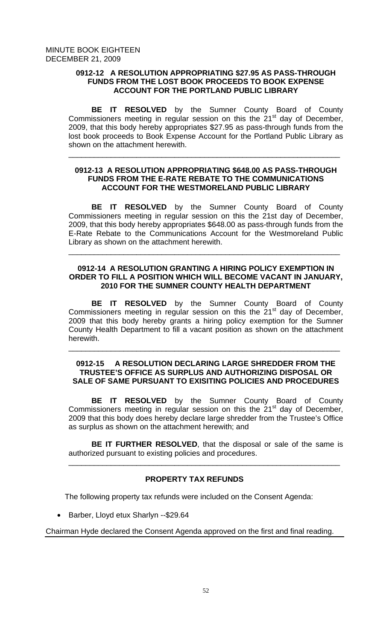# **0912-12 A RESOLUTION APPROPRIATING \$27.95 AS PASS-THROUGH FUNDS FROM THE LOST BOOK PROCEEDS TO BOOK EXPENSE ACCOUNT FOR THE PORTLAND PUBLIC LIBRARY**

**BE IT RESOLVED** by the Sumner County Board of County Commissioners meeting in regular session on this the  $21<sup>st</sup>$  day of December, 2009, that this body hereby appropriates \$27.95 as pass-through funds from the lost book proceeds to Book Expense Account for the Portland Public Library as shown on the attachment herewith.

\_\_\_\_\_\_\_\_\_\_\_\_\_\_\_\_\_\_\_\_\_\_\_\_\_\_\_\_\_\_\_\_\_\_\_\_\_\_\_\_\_\_\_\_\_\_\_\_\_\_\_\_\_\_\_\_\_\_\_\_\_\_\_\_

# **0912-13 A RESOLUTION APPROPRIATING \$648.00 AS PASS-THROUGH FUNDS FROM THE E-RATE REBATE TO THE COMMUNICATIONS ACCOUNT FOR THE WESTMORELAND PUBLIC LIBRARY**

**BE IT RESOLVED** by the Sumner County Board of County Commissioners meeting in regular session on this the 21st day of December, 2009, that this body hereby appropriates \$648.00 as pass-through funds from the E-Rate Rebate to the Communications Account for the Westmoreland Public Library as shown on the attachment herewith.

## **0912-14 A RESOLUTION GRANTING A HIRING POLICY EXEMPTION IN ORDER TO FILL A POSITION WHICH WILL BECOME VACANT IN JANUARY, 2010 FOR THE SUMNER COUNTY HEALTH DEPARTMENT**

\_\_\_\_\_\_\_\_\_\_\_\_\_\_\_\_\_\_\_\_\_\_\_\_\_\_\_\_\_\_\_\_\_\_\_\_\_\_\_\_\_\_\_\_\_\_\_\_\_\_\_\_\_\_\_\_\_\_\_\_\_\_\_\_

**BE IT RESOLVED** by the Sumner County Board of County Commissioners meeting in regular session on this the  $21<sup>st</sup>$  day of December, 2009 that this body hereby grants a hiring policy exemption for the Sumner County Health Department to fill a vacant position as shown on the attachment herewith.

## **0912-15 A RESOLUTION DECLARING LARGE SHREDDER FROM THE TRUSTEE'S OFFICE AS SURPLUS AND AUTHORIZING DISPOSAL OR SALE OF SAME PURSUANT TO EXISITING POLICIES AND PROCEDURES**

\_\_\_\_\_\_\_\_\_\_\_\_\_\_\_\_\_\_\_\_\_\_\_\_\_\_\_\_\_\_\_\_\_\_\_\_\_\_\_\_\_\_\_\_\_\_\_\_\_\_\_\_\_\_\_\_\_\_\_\_\_\_\_\_

**BE IT RESOLVED** by the Sumner County Board of County Commissioners meeting in regular session on this the  $21<sup>st</sup>$  day of December, 2009 that this body does hereby declare large shredder from the Trustee's Office as surplus as shown on the attachment herewith; and

**BE IT FURTHER RESOLVED**, that the disposal or sale of the same is authorized pursuant to existing policies and procedures.

\_\_\_\_\_\_\_\_\_\_\_\_\_\_\_\_\_\_\_\_\_\_\_\_\_\_\_\_\_\_\_\_\_\_\_\_\_\_\_\_\_\_\_\_\_\_\_\_\_\_\_\_\_\_\_\_\_\_\_\_\_\_\_\_

# **PROPERTY TAX REFUNDS**

The following property tax refunds were included on the Consent Agenda:

• Barber, Lloyd etux Sharlyn --\$29.64

Chairman Hyde declared the Consent Agenda approved on the first and final reading.